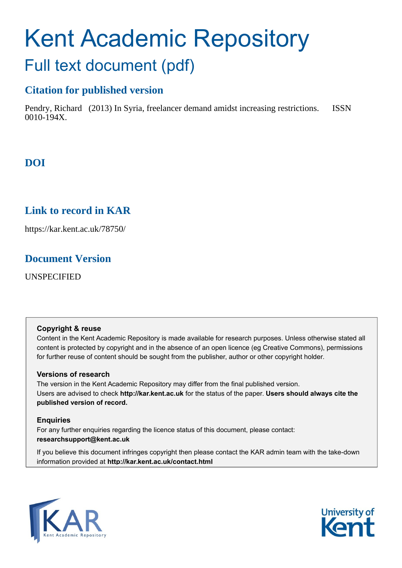# Kent Academic Repository Full text document (pdf)

## **Citation for published version**

Pendry, Richard (2013) In Syria, freelancer demand amidst increasing restrictions. ISSN 0010-194X.

# **DOI**

## **Link to record in KAR**

https://kar.kent.ac.uk/78750/

### **Document Version**

UNSPECIFIED

#### **Copyright & reuse**

Content in the Kent Academic Repository is made available for research purposes. Unless otherwise stated all content is protected by copyright and in the absence of an open licence (eg Creative Commons), permissions for further reuse of content should be sought from the publisher, author or other copyright holder.

#### **Versions of research**

The version in the Kent Academic Repository may differ from the final published version. Users are advised to check **http://kar.kent.ac.uk** for the status of the paper. **Users should always cite the published version of record.**

#### **Enquiries**

For any further enquiries regarding the licence status of this document, please contact: **researchsupport@kent.ac.uk**

If you believe this document infringes copyright then please contact the KAR admin team with the take-down information provided at **http://kar.kent.ac.uk/contact.html**



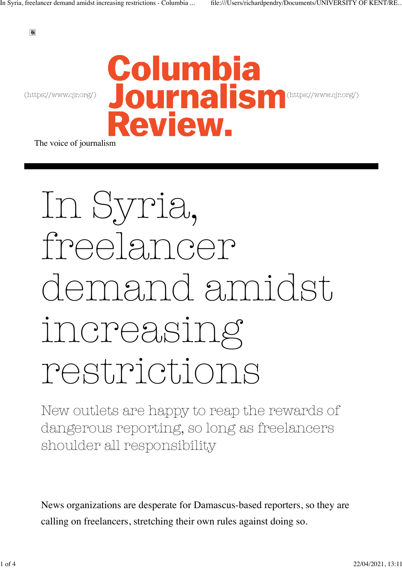團

# Columbia (https://www.cjr.org/) **Journal's M**<sup>(https://www.cjr.org/)</sup> **Review.**

The voice of journalism

# In Syria, freelancer demand amidst increasing restrictions

New outlets are happy to reap the rewards of dangerous reporting, so long as freelancers shoulder all responsibility

News organizations are desperate for Damascus-based reporters, so they are calling on freelancers, stretching their own rules against doing so.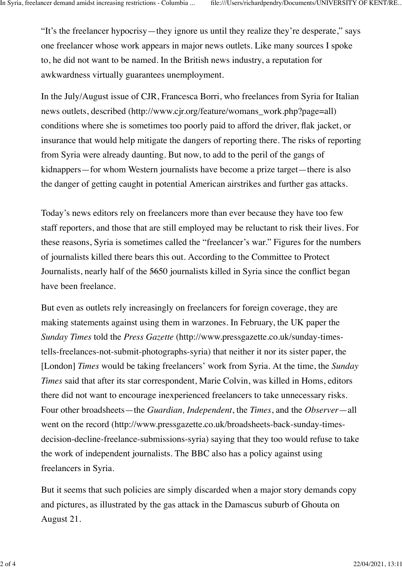"It's the freelancer hypocrisy—they ignore us until they realize they're desperate," says one freelancer whose work appears in major news outlets. Like many sources I spoke to, he did not want to be named. In the British news industry, a reputation for awkwardness virtually guarantees unemployment.

In the July/August issue of CJR, Francesca Borri, who freelances from Syria for Italian news outlets, described (http://www.cjr.org/feature/womans\_work.php?page=all) conditions where she is sometimes too poorly paid to afford the driver, flak jacket, or insurance that would help mitigate the dangers of reporting there. The risks of reporting from Syria were already daunting. But now, to add to the peril of the gangs of kidnappers—for whom Western journalists have become a prize target—there is also the danger of getting caught in potential American airstrikes and further gas attacks.

Today's news editors rely on freelancers more than ever because they have too few staff reporters, and those that are still employed may be reluctant to risk their lives. For these reasons, Syria is sometimes called the "freelancer's war." Figures for the numbers of journalists killed there bears this out. According to the Committee to Protect Journalists, nearly half of the 5650 journalists killed in Syria since the conflict began have been freelance.

But even as outlets rely increasingly on freelancers for foreign coverage, they are making statements against using them in warzones. In February, the UK paper the *Sunday Times* told the *Press Gazette* (http://www.pressgazette.co.uk/sunday-timestells-freelances-not-submit-photographs-syria) that neither it nor its sister paper, the [London] *Times* would be taking freelancers' work from Syria. At the time, the *Sunday Times* said that after its star correspondent, Marie Colvin, was killed in Homs, editors there did not want to encourage inexperienced freelancers to take unnecessary risks. Four other broadsheets—the *Guardian, Independent*, the *Times*, and the *Observer*—all went on the record (http://www.pressgazette.co.uk/broadsheets-back-sunday-timesdecision-decline-freelance-submissions-syria) saying that they too would refuse to take the work of independent journalists. The BBC also has a policy against using freelancers in Syria.

But it seems that such policies are simply discarded when a major story demands copy and pictures, as illustrated by the gas attack in the Damascus suburb of Ghouta on August 21.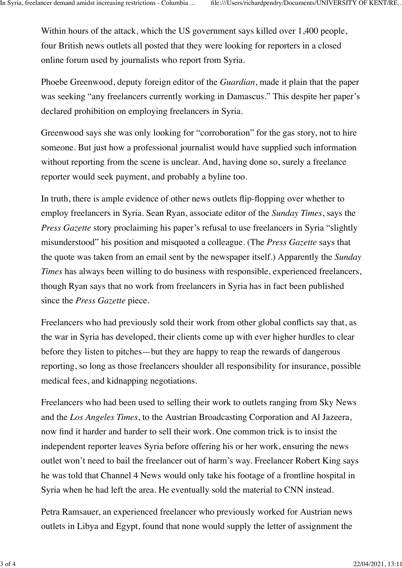Within hours of the attack, which the US government says killed over 1,400 people, four British news outlets all posted that they were looking for reporters in a closed online forum used by journalists who report from Syria.

Phoebe Greenwood, deputy foreign editor of the *Guardian*, made it plain that the paper was seeking "any freelancers currently working in Damascus." This despite her paper's declared prohibition on employing freelancers in Syria.

Greenwood says she was only looking for "corroboration" for the gas story, not to hire someone. But just how a professional journalist would have supplied such information without reporting from the scene is unclear. And, having done so, surely a freelance reporter would seek payment, and probably a byline too.

In truth, there is ample evidence of other news outlets flip-flopping over whether to employ freelancers in Syria. Sean Ryan, associate editor of the *Sunday Times*, says the *Press Gazette* story proclaiming his paper's refusal to use freelancers in Syria "slightly misunderstood" his position and misquoted a colleague. (The *Press Gazette* says that the quote was taken from an email sent by the newspaper itself.) Apparently the *Sunday Times* has always been willing to do business with responsible, experienced freelancers, though Ryan says that no work from freelancers in Syria has in fact been published since the *Press Gazette* piece.

Freelancers who had previously sold their work from other global conflicts say that, as the war in Syria has developed, their clients come up with ever higher hurdles to clear before they listen to pitches—but they are happy to reap the rewards of dangerous reporting, so long as those freelancers shoulder all responsibility for insurance, possible medical fees, and kidnapping negotiations.

Freelancers who had been used to selling their work to outlets ranging from Sky News and the *Los Angeles Times*, to the Austrian Broadcasting Corporation and Al Jazeera, now find it harder and harder to sell their work. One common trick is to insist the independent reporter leaves Syria before offering his or her work, ensuring the news outlet won't need to bail the freelancer out of harm's way. Freelancer Robert King says he was told that Channel 4 News would only take his footage of a frontline hospital in Syria when he had left the area. He eventually sold the material to CNN instead.

Petra Ramsauer, an experienced freelancer who previously worked for Austrian news outlets in Libya and Egypt, found that none would supply the letter of assignment the